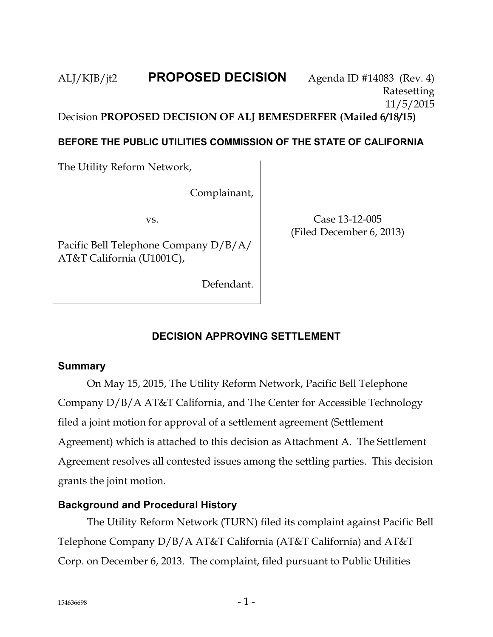ALJ/KJB/jt2 **PROPOSED DECISION** Agenda ID #14083 (Rev. 4) Ratesetting 11/5/2015 Decision **PROPOSED DECISION OF ALJ BEMESDERFER (Mailed 6/18/15)**

## **BEFORE THE PUBLIC UTILITIES COMMISSION OF THE STATE OF CALIFORNIA**

The Utility Reform Network,

Complainant,

vs.

Pacific Bell Telephone Company D/B/A/ AT&T California (U1001C),

Defendant.

Case 13-12-005 (Filed December 6, 2013)

## **DECISION APPROVING SETTLEMENT**

## **Summary**

On May 15, 2015, The Utility Reform Network, Pacific Bell Telephone Company D/B/A AT&T California, and The Center for Accessible Technology filed a joint motion for approval of a settlement agreement (Settlement Agreement) which is attached to this decision as Attachment A. The Settlement Agreement resolves all contested issues among the settling parties. This decision grants the joint motion.

## **Background and Procedural History**

The Utility Reform Network (TURN) filed its complaint against Pacific Bell Telephone Company D/B/A AT&T California (AT&T California) and AT&T Corp. on December 6, 2013. The complaint, filed pursuant to Public Utilities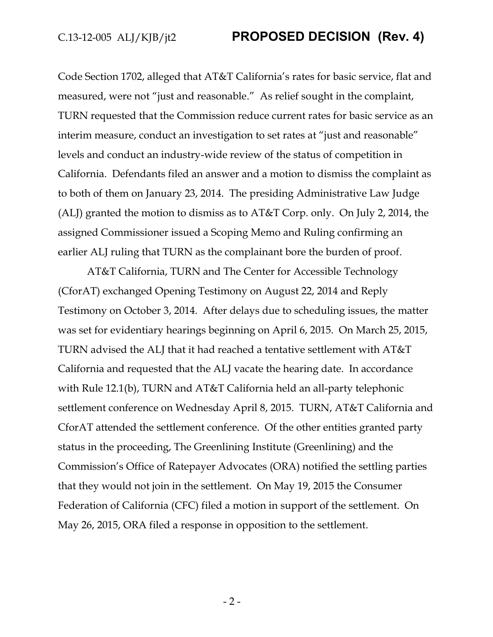Code Section 1702, alleged that AT&T California's rates for basic service, flat and measured, were not "just and reasonable." As relief sought in the complaint, TURN requested that the Commission reduce current rates for basic service as an interim measure, conduct an investigation to set rates at "just and reasonable" levels and conduct an industry-wide review of the status of competition in California. Defendants filed an answer and a motion to dismiss the complaint as to both of them on January 23, 2014. The presiding Administrative Law Judge (ALJ) granted the motion to dismiss as to AT&T Corp. only. On July 2, 2014, the assigned Commissioner issued a Scoping Memo and Ruling confirming an earlier ALJ ruling that TURN as the complainant bore the burden of proof.

AT&T California, TURN and The Center for Accessible Technology (CforAT) exchanged Opening Testimony on August 22, 2014 and Reply Testimony on October 3, 2014. After delays due to scheduling issues, the matter was set for evidentiary hearings beginning on April 6, 2015. On March 25, 2015, TURN advised the ALJ that it had reached a tentative settlement with AT&T California and requested that the ALJ vacate the hearing date. In accordance with Rule 12.1(b), TURN and AT&T California held an all-party telephonic settlement conference on Wednesday April 8, 2015. TURN, AT&T California and CforAT attended the settlement conference. Of the other entities granted party status in the proceeding, The Greenlining Institute (Greenlining) and the Commission's Office of Ratepayer Advocates (ORA) notified the settling parties that they would not join in the settlement. On May 19, 2015 the Consumer Federation of California (CFC) filed a motion in support of the settlement. On May 26, 2015, ORA filed a response in opposition to the settlement.

- 2 -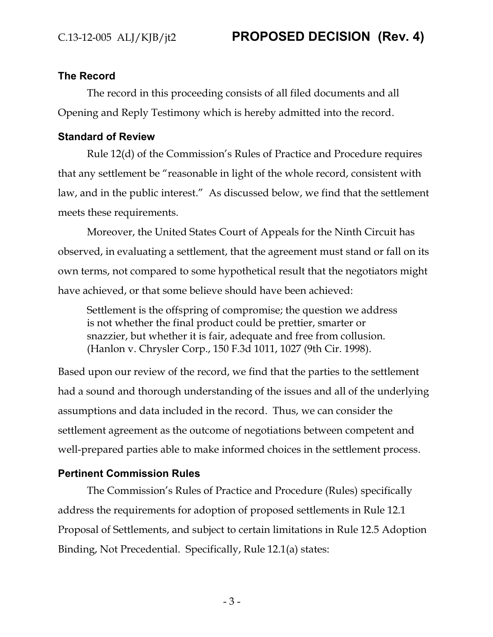#### **The Record**

The record in this proceeding consists of all filed documents and all Opening and Reply Testimony which is hereby admitted into the record.

#### **Standard of Review**

Rule 12(d) of the Commission's Rules of Practice and Procedure requires that any settlement be "reasonable in light of the whole record, consistent with law, and in the public interest." As discussed below, we find that the settlement meets these requirements.

Moreover, the United States Court of Appeals for the Ninth Circuit has observed, in evaluating a settlement, that the agreement must stand or fall on its own terms, not compared to some hypothetical result that the negotiators might have achieved, or that some believe should have been achieved:

Settlement is the offspring of compromise; the question we address is not whether the final product could be prettier, smarter or snazzier, but whether it is fair, adequate and free from collusion. (Hanlon v. Chrysler Corp., 150 F.3d 1011, 1027 (9th Cir. 1998).

Based upon our review of the record, we find that the parties to the settlement had a sound and thorough understanding of the issues and all of the underlying assumptions and data included in the record. Thus, we can consider the settlement agreement as the outcome of negotiations between competent and well-prepared parties able to make informed choices in the settlement process.

#### **Pertinent Commission Rules**

The Commission's Rules of Practice and Procedure (Rules) specifically address the requirements for adoption of proposed settlements in Rule 12.1 Proposal of Settlements, and subject to certain limitations in Rule 12.5 Adoption Binding, Not Precedential. Specifically, Rule 12.1(a) states: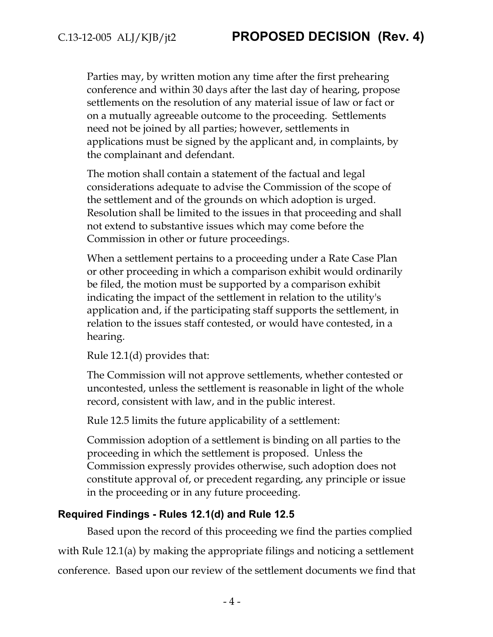Parties may, by written motion any time after the first prehearing conference and within 30 days after the last day of hearing, propose settlements on the resolution of any material issue of law or fact or on a mutually agreeable outcome to the proceeding. Settlements need not be joined by all parties; however, settlements in applications must be signed by the applicant and, in complaints, by the complainant and defendant.

The motion shall contain a statement of the factual and legal considerations adequate to advise the Commission of the scope of the settlement and of the grounds on which adoption is urged. Resolution shall be limited to the issues in that proceeding and shall not extend to substantive issues which may come before the Commission in other or future proceedings.

When a settlement pertains to a proceeding under a Rate Case Plan or other proceeding in which a comparison exhibit would ordinarily be filed, the motion must be supported by a comparison exhibit indicating the impact of the settlement in relation to the utility's application and, if the participating staff supports the settlement, in relation to the issues staff contested, or would have contested, in a hearing.

Rule 12.1(d) provides that:

The Commission will not approve settlements, whether contested or uncontested, unless the settlement is reasonable in light of the whole record, consistent with law, and in the public interest.

Rule 12.5 limits the future applicability of a settlement:

Commission adoption of a settlement is binding on all parties to the proceeding in which the settlement is proposed. Unless the Commission expressly provides otherwise, such adoption does not constitute approval of, or precedent regarding, any principle or issue in the proceeding or in any future proceeding.

#### **Required Findings - Rules 12.1(d) and Rule 12.5**

Based upon the record of this proceeding we find the parties complied with Rule 12.1(a) by making the appropriate filings and noticing a settlement conference. Based upon our review of the settlement documents we find that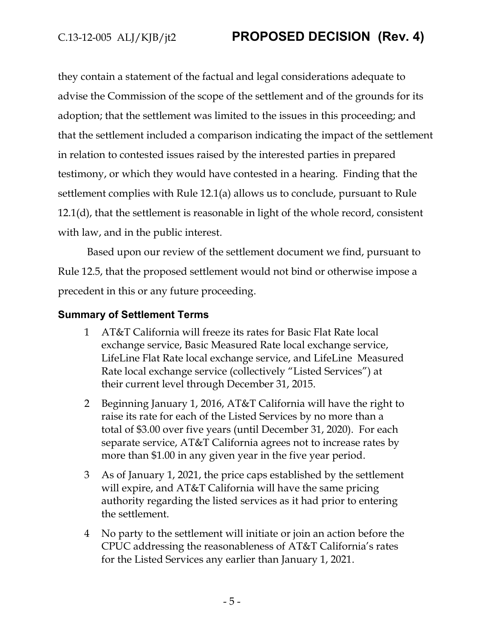they contain a statement of the factual and legal considerations adequate to advise the Commission of the scope of the settlement and of the grounds for its adoption; that the settlement was limited to the issues in this proceeding; and that the settlement included a comparison indicating the impact of the settlement in relation to contested issues raised by the interested parties in prepared testimony, or which they would have contested in a hearing. Finding that the settlement complies with Rule 12.1(a) allows us to conclude, pursuant to Rule 12.1(d), that the settlement is reasonable in light of the whole record, consistent with law, and in the public interest.

Based upon our review of the settlement document we find, pursuant to Rule 12.5, that the proposed settlement would not bind or otherwise impose a precedent in this or any future proceeding.

## **Summary of Settlement Terms**

- 1 AT&T California will freeze its rates for Basic Flat Rate local exchange service, Basic Measured Rate local exchange service, LifeLine Flat Rate local exchange service, and LifeLine Measured Rate local exchange service (collectively "Listed Services") at their current level through December 31, 2015.
- 2 Beginning January 1, 2016, AT&T California will have the right to raise its rate for each of the Listed Services by no more than a total of \$3.00 over five years (until December 31, 2020). For each separate service, AT&T California agrees not to increase rates by more than \$1.00 in any given year in the five year period.
- 3 As of January 1, 2021, the price caps established by the settlement will expire, and AT&T California will have the same pricing authority regarding the listed services as it had prior to entering the settlement.
- 4 No party to the settlement will initiate or join an action before the CPUC addressing the reasonableness of AT&T California's rates for the Listed Services any earlier than January 1, 2021.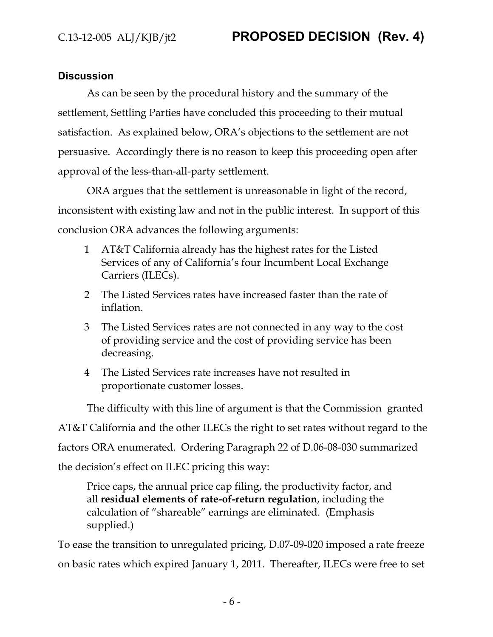## **Discussion**

As can be seen by the procedural history and the summary of the settlement, Settling Parties have concluded this proceeding to their mutual satisfaction. As explained below, ORA's objections to the settlement are not persuasive. Accordingly there is no reason to keep this proceeding open after approval of the less-than-all-party settlement.

ORA argues that the settlement is unreasonable in light of the record, inconsistent with existing law and not in the public interest. In support of this conclusion ORA advances the following arguments:

- 1 AT&T California already has the highest rates for the Listed Services of any of California's four Incumbent Local Exchange Carriers (ILECs).
- 2 The Listed Services rates have increased faster than the rate of inflation.
- 3 The Listed Services rates are not connected in any way to the cost of providing service and the cost of providing service has been decreasing.
- 4 The Listed Services rate increases have not resulted in proportionate customer losses.

The difficulty with this line of argument is that the Commission granted AT&T California and the other ILECs the right to set rates without regard to the factors ORA enumerated. Ordering Paragraph 22 of D.06-08-030 summarized the decision's effect on ILEC pricing this way:

Price caps, the annual price cap filing, the productivity factor, and all **residual elements of rate-of-return regulation**, including the calculation of "shareable" earnings are eliminated. (Emphasis supplied.)

To ease the transition to unregulated pricing, D.07-09-020 imposed a rate freeze on basic rates which expired January 1, 2011. Thereafter, ILECs were free to set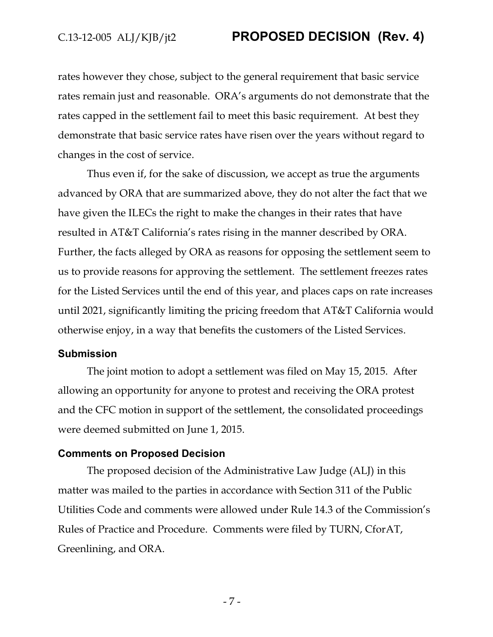rates however they chose, subject to the general requirement that basic service rates remain just and reasonable. ORA's arguments do not demonstrate that the rates capped in the settlement fail to meet this basic requirement. At best they demonstrate that basic service rates have risen over the years without regard to changes in the cost of service.

Thus even if, for the sake of discussion, we accept as true the arguments advanced by ORA that are summarized above, they do not alter the fact that we have given the ILECs the right to make the changes in their rates that have resulted in AT&T California's rates rising in the manner described by ORA. Further, the facts alleged by ORA as reasons for opposing the settlement seem to us to provide reasons for approving the settlement. The settlement freezes rates for the Listed Services until the end of this year, and places caps on rate increases until 2021, significantly limiting the pricing freedom that AT&T California would otherwise enjoy, in a way that benefits the customers of the Listed Services.

#### **Submission**

The joint motion to adopt a settlement was filed on May 15, 2015. After allowing an opportunity for anyone to protest and receiving the ORA protest and the CFC motion in support of the settlement, the consolidated proceedings were deemed submitted on June 1, 2015.

#### **Comments on Proposed Decision**

The proposed decision of the Administrative Law Judge (ALJ) in this matter was mailed to the parties in accordance with Section 311 of the Public Utilities Code and comments were allowed under Rule 14.3 of the Commission's Rules of Practice and Procedure. Comments were filed by TURN, CforAT, Greenlining, and ORA.

- 7 -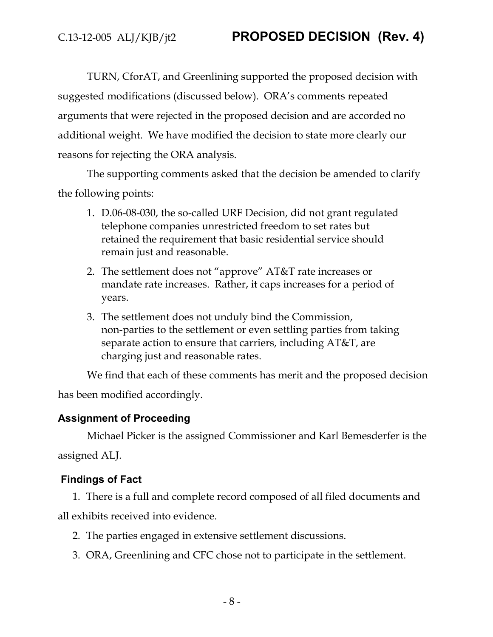TURN, CforAT, and Greenlining supported the proposed decision with suggested modifications (discussed below). ORA's comments repeated arguments that were rejected in the proposed decision and are accorded no additional weight. We have modified the decision to state more clearly our reasons for rejecting the ORA analysis.

The supporting comments asked that the decision be amended to clarify the following points:

- 1. D.06-08-030, the so-called URF Decision, did not grant regulated telephone companies unrestricted freedom to set rates but retained the requirement that basic residential service should remain just and reasonable.
- 2. The settlement does not "approve" AT&T rate increases or mandate rate increases. Rather, it caps increases for a period of years.
- 3. The settlement does not unduly bind the Commission, non-parties to the settlement or even settling parties from taking separate action to ensure that carriers, including AT&T, are charging just and reasonable rates.

We find that each of these comments has merit and the proposed decision has been modified accordingly.

## **Assignment of Proceeding**

Michael Picker is the assigned Commissioner and Karl Bemesderfer is the assigned ALJ.

## **Findings of Fact**

1. There is a full and complete record composed of all filed documents and all exhibits received into evidence.

- 2. The parties engaged in extensive settlement discussions.
- 3. ORA, Greenlining and CFC chose not to participate in the settlement.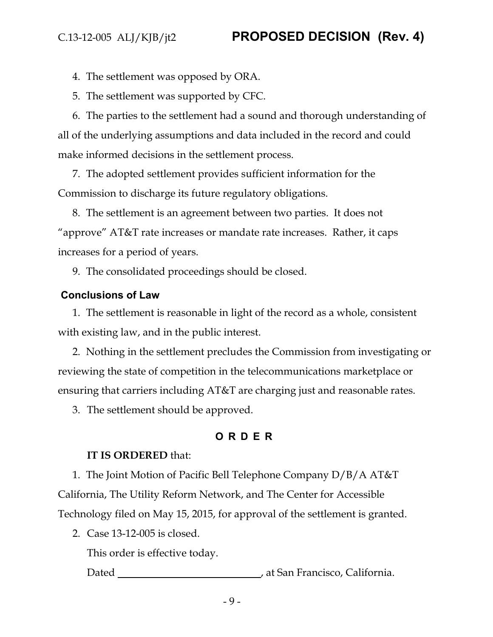4. The settlement was opposed by ORA.

5. The settlement was supported by CFC.

6. The parties to the settlement had a sound and thorough understanding of all of the underlying assumptions and data included in the record and could make informed decisions in the settlement process.

7. The adopted settlement provides sufficient information for the Commission to discharge its future regulatory obligations.

8. The settlement is an agreement between two parties. It does not "approve" AT&T rate increases or mandate rate increases. Rather, it caps increases for a period of years.

9. The consolidated proceedings should be closed.

## **Conclusions of Law**

1. The settlement is reasonable in light of the record as a whole, consistent with existing law, and in the public interest.

2. Nothing in the settlement precludes the Commission from investigating or reviewing the state of competition in the telecommunications marketplace or ensuring that carriers including AT&T are charging just and reasonable rates.

3. The settlement should be approved.

## **ORDER**

## **IT IS ORDERED** that:

1. The Joint Motion of Pacific Bell Telephone Company D/B/A AT&T California, The Utility Reform Network, and The Center for Accessible Technology filed on May 15, 2015, for approval of the settlement is granted.

2. Case 13-12-005 is closed.

This order is effective today.

Dated **Dated** , at San Francisco, California.